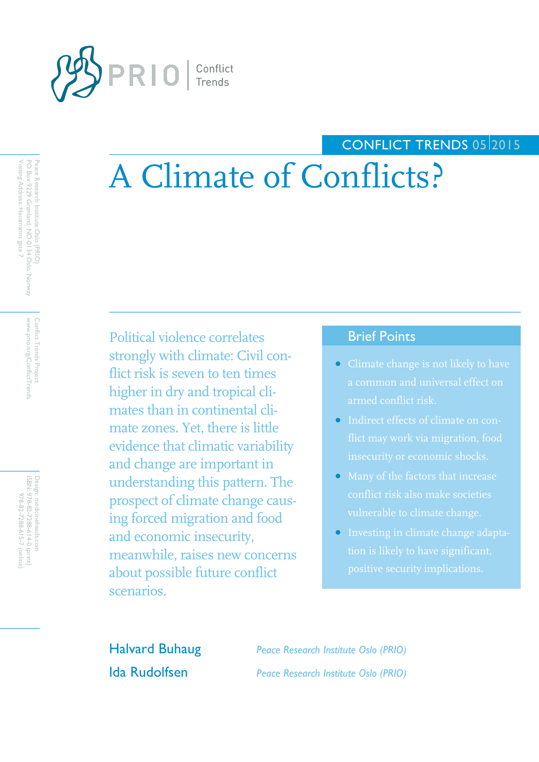

# CONFLICT TRENDS 05 2015

# A Climate of Conflicts?

Political violence correlates strongly with climate: Civil conflict risk is seven to ten times higher in dry and tropical climates than in continental climate zones. Yet, there is little evidence that climatic variability and change are important in understanding this pattern. The prospect of climate change causing forced migration and food and economic insecurity, meanwhile, raises new concerns about possible future conflict scenarios.

## Brief Points

- a common and universal effect on armed conflict risk.
- Indirect effects of climate on con-
- conflict risk also make societies vulnerable to climate change.
- Investing in climate change adapta-

Halvard Buhaug *Peace Research Institute Oslo (PRIO)* Ida Rudolfsen *Peace Research Institute Oslo (PRIO)*

Conflict Trends Project www.prio.org/ConflictTrend www.prio.org/ConflictTrends Conflict Trends Project

ISBN: Design: medicineheads.com 978-82-7288-614-0 (print) 978-82-7288-615-7 (online)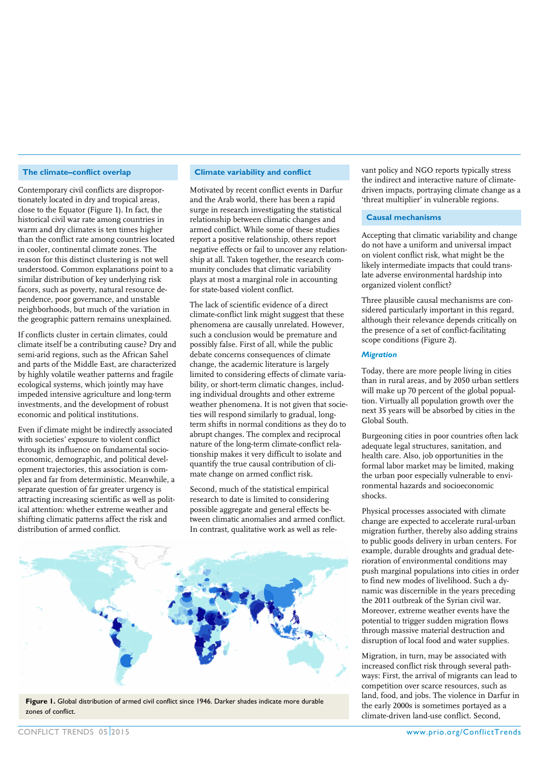#### **The climate–conflict overlap**

Contemporary civil conflicts are disproportionately located in dry and tropical areas, close to the Equator (Figure 1). In fact, the historical civil war rate among countries in warm and dry climates is ten times higher than the conflict rate among countries located in cooler, continental climate zones. The reason for this distinct clustering is not well understood. Common explanations point to a similar distribution of key underlying risk facors, such as poverty, natural resource dependence, poor governance, and unstable neighborhoods, but much of the variation in the geographic pattern remains unexplained.

If conflicts cluster in certain climates, could climate itself be a contributing cause? Dry and semi-arid regions, such as the African Sahel and parts of the Middle East, are characterized by highly volatile weather patterns and fragile ecological systems, which jointly may have impeded intensive agriculture and long-term investments, and the development of robust economic and political institutions.

Even if climate might be indirectly associated with societies' exposure to violent conflict through its influence on fundamental socioeconomic, demographic, and political development trajectories, this association is complex and far from deterministic. Meanwhile, a separate question of far greater urgency is attracting increasing scientific as well as political attention: whether extreme weather and shifting climatic patterns affect the risk and distribution of armed conflict.

#### **Climate variability and conflict**

Motivated by recent conflict events in Darfur and the Arab world, there has been a rapid surge in research investigating the statistical relationship between climatic changes and armed conflict. While some of these studies report a positive relationship, others report negative effects or fail to uncover any relationship at all. Taken together, the research community concludes that climatic variability plays at most a marginal role in accounting for state-based violent conflict.

The lack of scientific evidence of a direct climate-conflict link might suggest that these phenomena are causally unrelated. However, such a conclusion would be premature and possibly false. First of all, while the public debate concerns consequences of climate change, the academic literature is largely limited to considering effects of climate variability, or short-term climatic changes, including individual droughts and other extreme weather phenomena. It is not given that societies will respond similarly to gradual, longterm shifts in normal conditions as they do to abrupt changes. The complex and reciprocal nature of the long-term climate-conflict relationship makes it very difficult to isolate and quantify the true causal contribution of climate change on armed conflict risk.

Second, much of the statistical empirical research to date is limited to considering possible aggregate and general effects between climatic anomalies and armed conflict. In contrast, qualitative work as well as rele-



**Figure 1.** Global distribution of armed civil conflict since 1946. Darker shades indicate more durable zones of conflict.

vant policy and NGO reports typically stress the indirect and interactive nature of climatedriven impacts, portraying climate change as a 'threat multiplier' in vulnerable regions.

#### **Causal mechanisms**

Accepting that climatic variability and change do not have a uniform and universal impact on violent conflict risk, what might be the likely intermediate impacts that could translate adverse environmental hardship into organized violent conflict?

Three plausible causal mechanisms are considered particularly important in this regard, although their relevance depends critically on the presence of a set of conflict-facilitating scope conditions (Figure 2).

#### *Migration*

Today, there are more people living in cities than in rural areas, and by 2050 urban settlers will make up 70 percent of the global popualtion. Virtually all population growth over the next 35 years will be absorbed by cities in the Global South.

Burgeoning cities in poor countries often lack adequate legal structures, sanitation, and health care. Also, job opportunities in the formal labor market may be limited, making the urban poor especially vulnerable to environmental hazards and socioeconomic shocks.

Physical processes associated with climate change are expected to accelerate rural-urban migration further, thereby also adding strains to public goods delivery in urban centers. For example, durable droughts and gradual deterioration of environmental conditions may push marginal populations into cities in order to find new modes of livelihood. Such a dynamic was discernible in the years preceding the 2011 outbreak of the Syrian civil war. Moreover, extreme weather events have the potential to trigger sudden migration flows through massive material destruction and disruption of local food and water supplies.

Migration, in turn, may be associated with increased conflict risk through several pathways: First, the arrival of migrants can lead to competition over scarce resources, such as land, food, and jobs. The violence in Darfur in the early 2000s is sometimes portayed as a climate-driven land-use conflict. Second,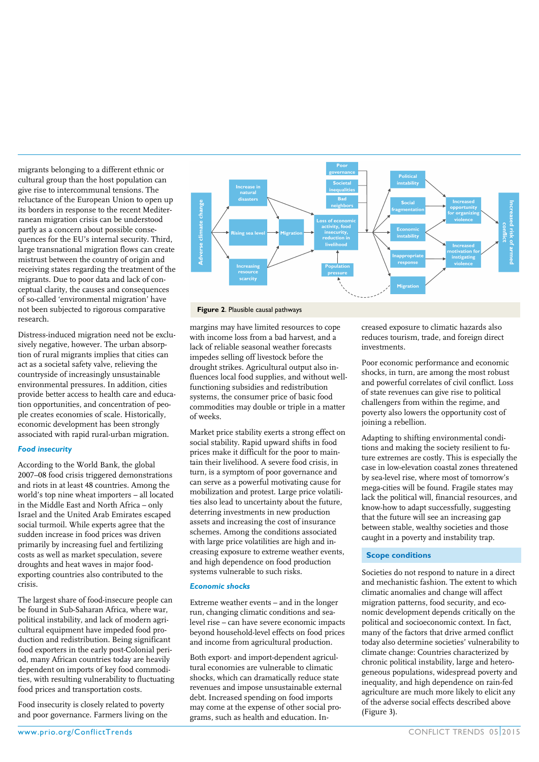migrants belonging to a different ethnic or cultural group than the host population can give rise to intercommunal tensions. The reluctance of the European Union to open up its borders in response to the recent Mediterranean migration crisis can be understood partly as a concern about possible consequences for the EU's internal security. Third, large transnational migration flows can create mistrust between the country of origin and receiving states regarding the treatment of the migrants. Due to poor data and lack of conceptual clarity, the causes and consequences of so-called 'environmental migration' have not been subjected to rigorous comparative research.

Distress-induced migration need not be exclusively negative, however. The urban absorption of rural migrants implies that cities can act as a societal safety valve, relieving the countryside of increasingly unsustainable environmental pressures. In addition, cities provide better access to health care and education opportunities, and concentration of people creates economies of scale. Historically, economic development has been strongly associated with rapid rural-urban migration.

#### *Food insecurity*

According to the World Bank, the global 2007–08 food crisis triggered demonstrations and riots in at least 48 countries. Among the world's top nine wheat importers – all located in the Middle East and North Africa – only Israel and the United Arab Emirates escaped social turmoil. While experts agree that the sudden increase in food prices was driven primarily by increasing fuel and fertilizing costs as well as market speculation, severe droughts and heat waves in major foodexporting countries also contributed to the crisis.

The largest share of food-insecure people can be found in Sub-Saharan Africa, where war, political instability, and lack of modern agricultural equipment have impeded food production and redistribution. Being significant food exporters in the early post-Colonial period, many African countries today are heavily dependent on imports of key food commodities, with resulting vulnerability to fluctuating food prices and transportation costs.

Food insecurity is closely related to poverty and poor governance. Farmers living on the



#### **Figure 2**. Plausible causal pathways

margins may have limited resources to cope with income loss from a bad harvest, and a lack of reliable seasonal weather forecasts impedes selling off livestock before the drought strikes. Agricultural output also influences local food supplies, and without wellfunctioning subsidies and redistribution systems, the consumer price of basic food commodities may double or triple in a matter of weeks.

Market price stability exerts a strong effect on social stability. Rapid upward shifts in food prices make it difficult for the poor to maintain their livelihood. A severe food crisis, in turn, is a symptom of poor governance and can serve as a powerful motivating cause for mobilization and protest. Large price volatilities also lead to uncertainty about the future, deterring investments in new production assets and increasing the cost of insurance schemes. Among the conditions associated with large price volatilities are high and increasing exposure to extreme weather events, and high dependence on food production systems vulnerable to such risks.

#### *Economic shocks*

Extreme weather events – and in the longer run, changing climatic conditions and sealevel rise – can have severe economic impacts beyond household-level effects on food prices and income from agricultural production.

Both export- and import-dependent agricultural economies are vulnerable to climatic shocks, which can dramatically reduce state revenues and impose unsustainable external debt. Increased spending on food imports may come at the expense of other social programs, such as health and education. Increased exposure to climatic hazards also reduces tourism, trade, and foreign direct investments.

Poor economic performance and economic shocks, in turn, are among the most robust and powerful correlates of civil conflict. Loss of state revenues can give rise to political challengers from within the regime, and poverty also lowers the opportunity cost of joining a rebellion.

Adapting to shifting environmental conditions and making the society resilient to future extremes are costly. This is especially the case in low-elevation coastal zones threatened by sea-level rise, where most of tomorrow's mega-cities will be found. Fragile states may lack the political will, financial resources, and know-how to adapt successfully, suggesting that the future will see an increasing gap between stable, wealthy societies and those caught in a poverty and instability trap.

#### **Scope conditions**

Societies do not respond to nature in a direct and mechanistic fashion. The extent to which climatic anomalies and change will affect migration patterns, food security, and economic development depends critically on the political and socioeconomic context. In fact, many of the factors that drive armed conflict today also determine societies' vulnerability to climate change: Countries characterized by chronic political instability, large and heterogeneous populations, widespread poverty and inequality, and high dependence on rain-fed agriculture are much more likely to elicit any of the adverse social effects described above (Figure 3).